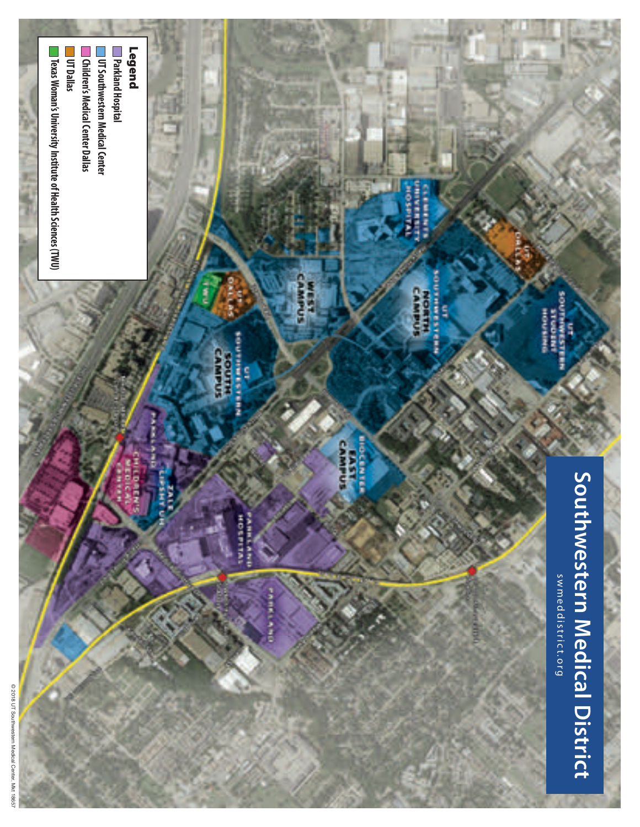

2018 UT Southwestern Medical Center. Mkt 18657 © 2018 UT Southwestern Medical Center. Mkt 18657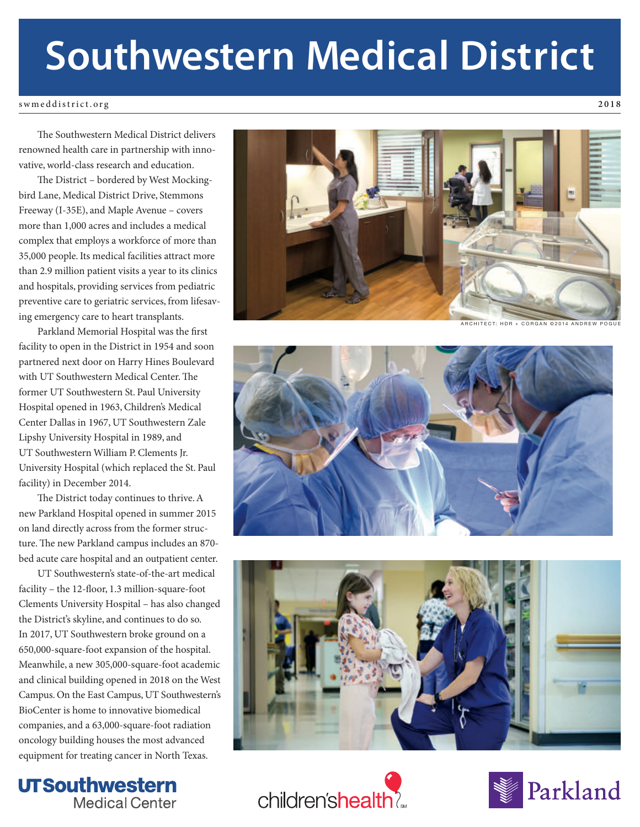# **Southwestern Medical District**

swmeddistrict.org **2018**

The Southwestern Medical District delivers renowned health care in partnership with innovative, world-class research and education.

The District – bordered by West Mockingbird Lane, Medical District Drive, Stemmons Freeway (I-35E), and Maple Avenue – covers more than 1,000 acres and includes a medical complex that employs a workforce of more than 35,000 people. Its medical facilities attract more than 2.9 million patient visits a year to its clinics and hospitals, providing services from pediatric preventive care to geriatric services, from lifesaving emergency care to heart transplants.

Parkland Memorial Hospital was the first facility to open in the District in 1954 and soon partnered next door on Harry Hines Boulevard with UT Southwestern Medical Center. The former UT Southwestern St. Paul University Hospital opened in 1963, Children's Medical Center Dallas in 1967, UT Southwestern Zale Lipshy University Hospital in 1989, and UT Southwestern William P. Clements Jr. University Hospital (which replaced the St. Paul facility) in December 2014.

The District today continues to thrive. A new Parkland Hospital opened in summer 2015 on land directly across from the former structure. The new Parkland campus includes an 870bed acute care hospital and an outpatient center.

UT Southwestern's state-of-the-art medical facility – the 12-floor, 1.3 million-square-foot Clements University Hospital – has also changed the District's skyline, and continues to do so. In 2017, UT Southwestern broke ground on a 650,000-square-foot expansion of the hospital. Meanwhile, a new 305,000-square-foot academic and clinical building opened in 2018 on the West Campus. On the East Campus, UT Southwestern's BioCenter is home to innovative biomedical companies, and a 63,000-square-foot radiation oncology building houses the most advanced equipment for treating cancer in North Texas.





**ARCHITECT: HDR + CORGAN @2014 ANDREW** 







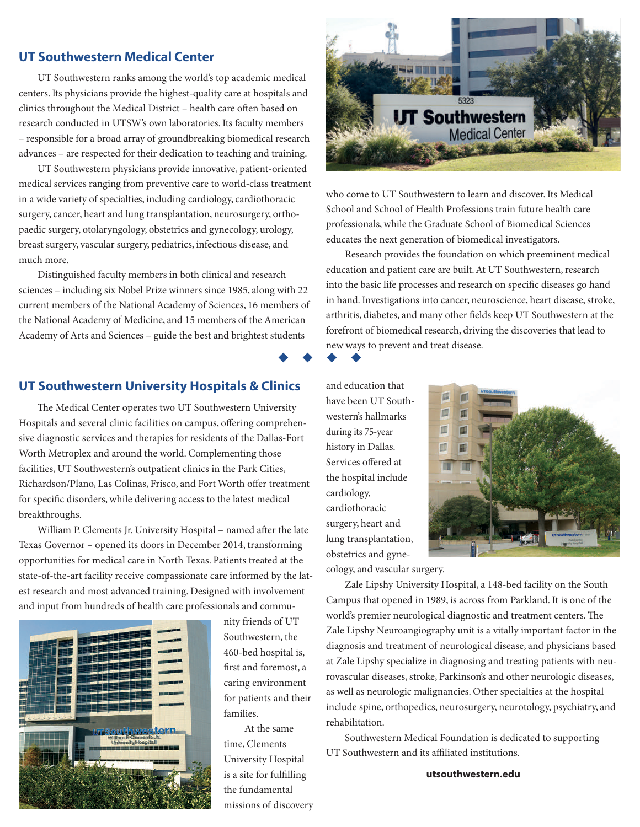### **UT Southwestern Medical Center**

UT Southwestern ranks among the world's top academic medical centers. Its physicians provide the highest-quality care at hospitals and clinics throughout the Medical District - health care often based on research conducted in UTSW's own laboratories. Its faculty members – responsible for a broad array of groundbreaking biomedical research advances – are respected for their dedication to teaching and training.

UT Southwestern physicians provide innovative, patient-oriented medical services ranging from preventive care to world-class treatment in a wide variety of specialties, including cardiology, cardiothoracic surgery, cancer, heart and lung transplantation, neurosurgery, orthopaedic surgery, otolaryngology, obstetrics and gynecology, urology, breast surgery, vascular surgery, pediatrics, infectious disease, and much more.

Distinguished faculty members in both clinical and research sciences – including six Nobel Prize winners since 1985, along with 22 current members of the National Academy of Sciences, 16 members of the National Academy of Medicine, and 15 members of the American Academy of Arts and Sciences – guide the best and brightest students

#### **UT Southwestern University Hospitals & Clinics**

The Medical Center operates two UT Southwestern University Hospitals and several clinic facilities on campus, offering comprehensive diagnostic services and therapies for residents of the Dallas-Fort Worth Metroplex and around the world. Complementing those facilities, UT Southwestern's outpatient clinics in the Park Cities, Richardson/Plano, Las Colinas, Frisco, and Fort Worth offer treatment for specific disorders, while delivering access to the latest medical breakthroughs.

William P. Clements Jr. University Hospital - named after the late Texas Governor – opened its doors in December 2014, transforming opportunities for medical care in North Texas. Patients treated at the state-of-the-art facility receive compassionate care informed by the latest research and most advanced training. Designed with involvement and input from hundreds of health care professionals and commu-



nity friends of UT Southwestern, the 460-bed hospital is, first and foremost, a caring environment for patients and their families.

At the same time, Clements University Hospital is a site for fulfilling the fundamental missions of discovery



who come to UT Southwestern to learn and discover. Its Medical School and School of Health Professions train future health care professionals, while the Graduate School of Biomedical Sciences educates the next generation of biomedical investigators.

Research provides the foundation on which preeminent medical education and patient care are built. At UT Southwestern, research into the basic life processes and research on specific diseases go hand in hand. Investigations into cancer, neuroscience, heart disease, stroke, arthritis, diabetes, and many other fields keep UT Southwestern at the forefront of biomedical research, driving the discoveries that lead to new ways to prevent and treat disease.

> m m

uuuu

and education that have been UT Southwestern's hallmarks during its 75-year history in Dallas. Services offered at the hospital include cardiology, cardiothoracic surgery, heart and lung transplantation, obstetrics and gyne-



cology, and vascular surgery.

Zale Lipshy University Hospital, a 148-bed facility on the South Campus that opened in 1989, is across from Parkland. It is one of the world's premier neurological diagnostic and treatment centers. The Zale Lipshy Neuroangiography unit is a vitally important factor in the diagnosis and treatment of neurological disease, and physicians based at Zale Lipshy specialize in diagnosing and treating patients with neurovascular diseases, stroke, Parkinson's and other neurologic diseases, as well as neurologic malignancies. Other specialties at the hospital include spine, orthopedics, neurosurgery, neurotology, psychiatry, and rehabilitation.

Southwestern Medical Foundation is dedicated to supporting UT Southwestern and its affiliated institutions.

**utsouthwestern.edu**